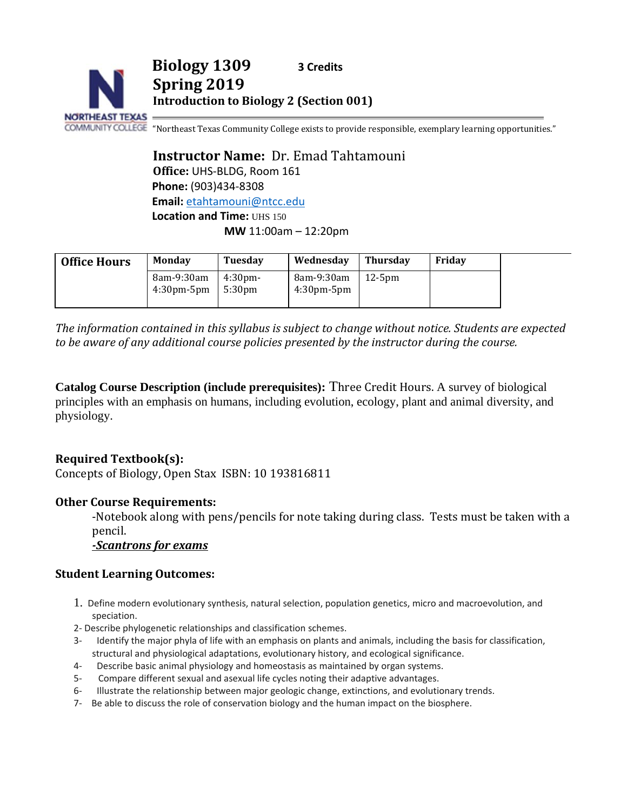

**Spring 2019**

**Biology 1309 3 Credits**

**Introduction to Biology 2 (Section 001)**

COMMUNITY COLLEGE "Northeast Texas Community College exists to provide responsible, exemplary learning opportunities."

**Instructor Name:** Dr. Emad Tahtamouni **Office:** UHS-BLDG, Room 161 **Phone:** (903)434-8308 **Email:** [etahtamouni@ntcc.edu](mailto:etahtamouni@ntcc.edu) **Location and Time: UHS 150 MW** 11:00am – 12:20pm

| <b>Office Hours</b> | <b>Monday</b>                   | <b>Tuesday</b>               | Wednesday                       | <b>Thursdav</b> | Fridav |  |
|---------------------|---------------------------------|------------------------------|---------------------------------|-----------------|--------|--|
|                     | 8am-9:30am<br>$4:30$ pm- $5$ pm | 4:30 <sub>pm</sub><br>5:30pm | 8am-9:30am<br>$4:30$ pm- $5$ pm | $12-5$ pm       |        |  |

*The information contained in this syllabus is subject to change without notice. Students are expected to be aware of any additional course policies presented by the instructor during the course.*

**Catalog Course Description (include prerequisites):** Three Credit Hours. A survey of biological principles with an emphasis on humans, including evolution, ecology, plant and animal diversity, and physiology.

### **Required Textbook(s):**

Concepts of Biology, Open Stax ISBN: 10 193816811

#### **Other Course Requirements:**

-Notebook along with pens/pencils for note taking during class. Tests must be taken with a pencil.

*-Scantrons for exams*

#### **Student Learning Outcomes:**

- 1. Define modern evolutionary synthesis, natural selection, population genetics, micro and macroevolution, and speciation.
- 2- Describe phylogenetic relationships and classification schemes.
- 3- Identify the major phyla of life with an emphasis on plants and animals, including the basis for classification, structural and physiological adaptations, evolutionary history, and ecological significance.
- 4- Describe basic animal physiology and homeostasis as maintained by organ systems.
- 5- Compare different sexual and asexual life cycles noting their adaptive advantages.
- 6- Illustrate the relationship between major geologic change, extinctions, and evolutionary trends.
- 7- Be able to discuss the role of conservation biology and the human impact on the biosphere.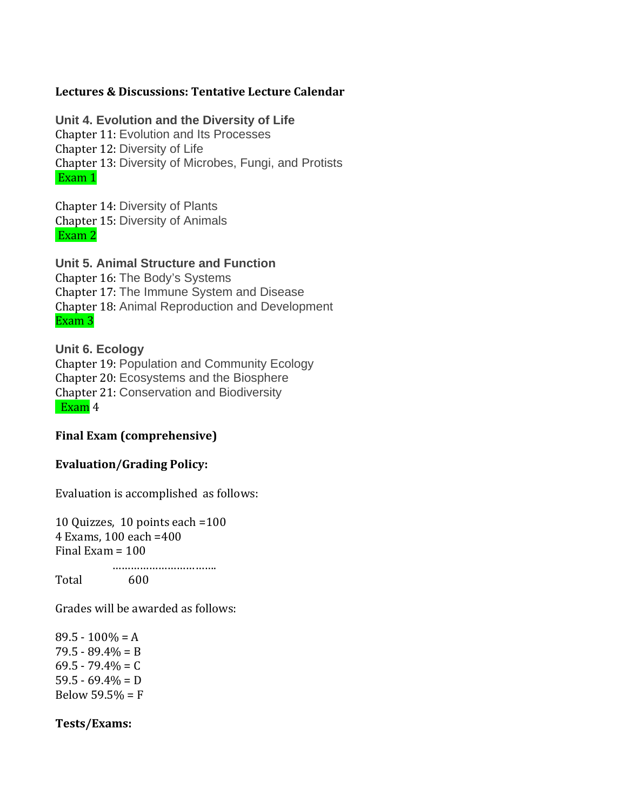#### **Lectures & Discussions: Tentative Lecture Calendar**

#### **Unit 4. Evolution and the Diversity of Life**

Chapter 11: Evolution and Its Processes Chapter 12: Diversity of Life Chapter 13: Diversity of Microbes, Fungi, and Protists Exam 1

Chapter 14: Diversity of Plants Chapter 15: Diversity of Animals Exam 2

### **Unit 5. Animal Structure and Function**

Chapter 16: The Body's Systems Chapter 17: The Immune System and Disease Chapter 18: Animal Reproduction and Development Exam 3

### **Unit 6. Ecology**

Chapter 19: Population and Community Ecology Chapter 20: Ecosystems and the Biosphere Chapter 21: Conservation and Biodiversity Exam 4

#### **Final Exam (comprehensive)**

#### **Evaluation/Grading Policy:**

Evaluation is accomplished as follows:

10 Quizzes, 10 points each =100 4 Exams, 100 each =400 Final Exam  $= 100$  ……………………………. Total

Grades will be awarded as follows:

 $89.5 - 100\% = A$  $79.5 - 89.4\% = B$  $69.5 - 79.4\% = C$  $59.5 - 69.4\% = D$ Below  $59.5% = F$ 

#### **Tests/Exams:**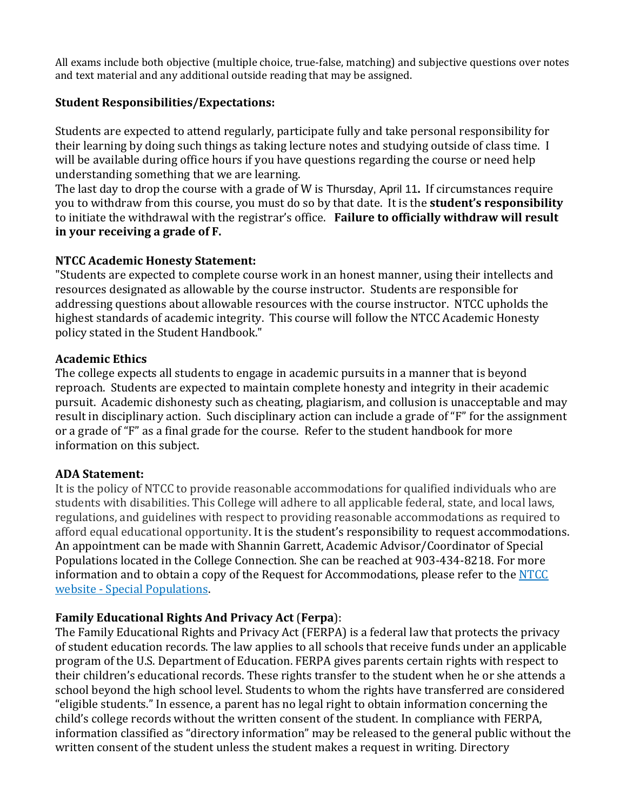All exams include both objective (multiple choice, true-false, matching) and subjective questions over notes and text material and any additional outside reading that may be assigned.

## **Student Responsibilities/Expectations:**

Students are expected to attend regularly, participate fully and take personal responsibility for their learning by doing such things as taking lecture notes and studying outside of class time. I will be available during office hours if you have questions regarding the course or need help understanding something that we are learning.

The last day to drop the course with a grade of W is Thursday, April 11**.** If circumstances require you to withdraw from this course, you must do so by that date. It is the **student's responsibility** to initiate the withdrawal with the registrar's office. **Failure to officially withdraw will result in your receiving a grade of F.**

## **NTCC Academic Honesty Statement:**

"Students are expected to complete course work in an honest manner, using their intellects and resources designated as allowable by the course instructor. Students are responsible for addressing questions about allowable resources with the course instructor. NTCC upholds the highest standards of academic integrity. This course will follow the NTCC Academic Honesty policy stated in the Student Handbook."

## **Academic Ethics**

The college expects all students to engage in academic pursuits in a manner that is beyond reproach. Students are expected to maintain complete honesty and integrity in their academic pursuit. Academic dishonesty such as cheating, plagiarism, and collusion is unacceptable and may result in disciplinary action. Such disciplinary action can include a grade of "F" for the assignment or a grade of "F" as a final grade for the course. Refer to the student handbook for more information on this subject.

### **ADA Statement:**

It is the policy of NTCC to provide reasonable accommodations for qualified individuals who are students with disabilities. This College will adhere to all applicable federal, state, and local laws, regulations, and guidelines with respect to providing reasonable accommodations as required to afford equal educational opportunity. It is the student's responsibility to request accommodations. An appointment can be made with Shannin Garrett, Academic Advisor/Coordinator of Special Populations located in the College Connection. She can be reached at 903-434-8218. For more information and to obtain a copy of the Request for Accommodations, please refer to the NTCC website - [Special Populations.](http://www.ntcc.edu/index.php?module=Pagesetter&func=viewpub&tid=111&pid=1)

## **Family Educational Rights And Privacy Act** (**Ferpa**):

The Family Educational Rights and Privacy Act (FERPA) is a federal law that protects the privacy of student education records. The law applies to all schools that receive funds under an applicable program of the U.S. Department of Education. FERPA gives parents certain rights with respect to their children's educational records. These rights transfer to the student when he or she attends a school beyond the high school level. Students to whom the rights have transferred are considered "eligible students." In essence, a parent has no legal right to obtain information concerning the child's college records without the written consent of the student. In compliance with FERPA, information classified as "directory information" may be released to the general public without the written consent of the student unless the student makes a request in writing. Directory